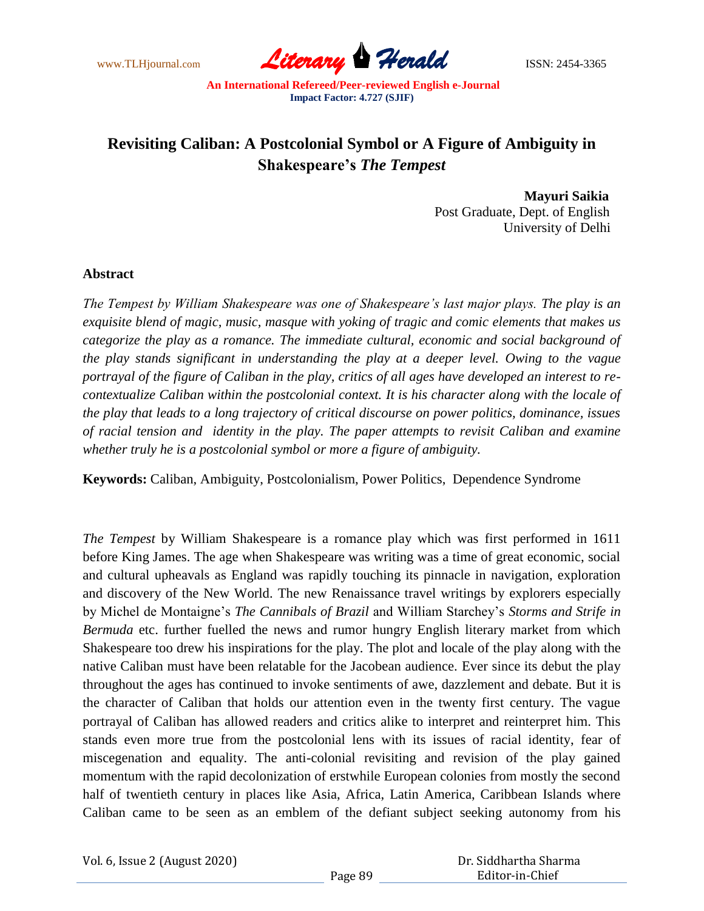

# **Revisiting Caliban: A Postcolonial Symbol or A Figure of Ambiguity in Shakespeare's** *The Tempest*

 **Mayuri Saikia** Post Graduate, Dept. of English University of Delhi

#### **Abstract**

*The Tempest by William Shakespeare was one of Shakespeare's last major plays. The play is an exquisite blend of magic, music, masque with yoking of tragic and comic elements that makes us categorize the play as a romance. The immediate cultural, economic and social background of the play stands significant in understanding the play at a deeper level. Owing to the vague portrayal of the figure of Caliban in the play, critics of all ages have developed an interest to recontextualize Caliban within the postcolonial context. It is his character along with the locale of the play that leads to a long trajectory of critical discourse on power politics, dominance, issues of racial tension and identity in the play. The paper attempts to revisit Caliban and examine whether truly he is a postcolonial symbol or more a figure of ambiguity.*

**Keywords:** Caliban, Ambiguity, Postcolonialism, Power Politics, Dependence Syndrome

*The Tempest* by William Shakespeare is a romance play which was first performed in 1611 before King James. The age when Shakespeare was writing was a time of great economic, social and cultural upheavals as England was rapidly touching its pinnacle in navigation, exploration and discovery of the New World. The new Renaissance travel writings by explorers especially by Michel de Montaigne"s *The Cannibals of Brazil* and William Starchey"s *Storms and Strife in Bermuda* etc. further fuelled the news and rumor hungry English literary market from which Shakespeare too drew his inspirations for the play. The plot and locale of the play along with the native Caliban must have been relatable for the Jacobean audience. Ever since its debut the play throughout the ages has continued to invoke sentiments of awe, dazzlement and debate. But it is the character of Caliban that holds our attention even in the twenty first century. The vague portrayal of Caliban has allowed readers and critics alike to interpret and reinterpret him. This stands even more true from the postcolonial lens with its issues of racial identity, fear of miscegenation and equality. The anti-colonial revisiting and revision of the play gained momentum with the rapid decolonization of erstwhile European colonies from mostly the second half of twentieth century in places like Asia, Africa, Latin America, Caribbean Islands where Caliban came to be seen as an emblem of the defiant subject seeking autonomy from his

|  | Vol. 6, Issue 2 (August 2020) |
|--|-------------------------------|
|--|-------------------------------|

 Dr. Siddhartha Sharma Editor-in-Chief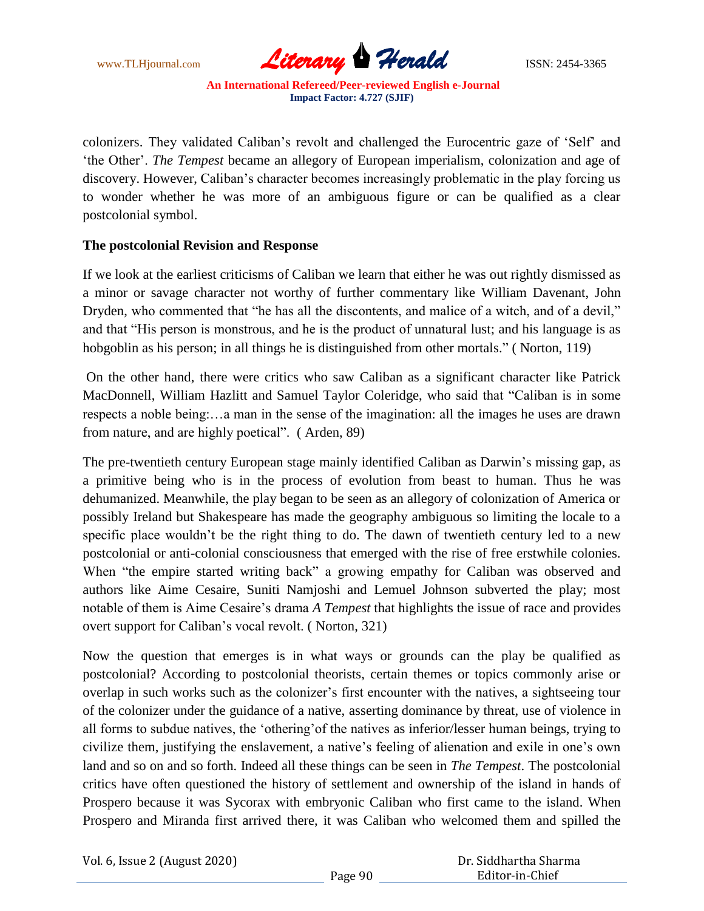

colonizers. They validated Caliban"s revolt and challenged the Eurocentric gaze of "Self" and "the Other". *The Tempest* became an allegory of European imperialism, colonization and age of discovery. However, Caliban"s character becomes increasingly problematic in the play forcing us to wonder whether he was more of an ambiguous figure or can be qualified as a clear postcolonial symbol.

#### **The postcolonial Revision and Response**

If we look at the earliest criticisms of Caliban we learn that either he was out rightly dismissed as a minor or savage character not worthy of further commentary like William Davenant, John Dryden, who commented that "he has all the discontents, and malice of a witch, and of a devil," and that "His person is monstrous, and he is the product of unnatural lust; and his language is as hobgoblin as his person; in all things he is distinguished from other mortals." (Norton, 119)

On the other hand, there were critics who saw Caliban as a significant character like Patrick MacDonnell, William Hazlitt and Samuel Taylor Coleridge, who said that "Caliban is in some respects a noble being:…a man in the sense of the imagination: all the images he uses are drawn from nature, and are highly poetical". ( Arden, 89)

The pre-twentieth century European stage mainly identified Caliban as Darwin"s missing gap, as a primitive being who is in the process of evolution from beast to human. Thus he was dehumanized. Meanwhile, the play began to be seen as an allegory of colonization of America or possibly Ireland but Shakespeare has made the geography ambiguous so limiting the locale to a specific place wouldn't be the right thing to do. The dawn of twentieth century led to a new postcolonial or anti-colonial consciousness that emerged with the rise of free erstwhile colonies. When "the empire started writing back" a growing empathy for Caliban was observed and authors like Aime Cesaire, Suniti Namjoshi and Lemuel Johnson subverted the play; most notable of them is Aime Cesaire"s drama *A Tempest* that highlights the issue of race and provides overt support for Caliban"s vocal revolt. ( Norton, 321)

Now the question that emerges is in what ways or grounds can the play be qualified as postcolonial? According to postcolonial theorists, certain themes or topics commonly arise or overlap in such works such as the colonizer"s first encounter with the natives, a sightseeing tour of the colonizer under the guidance of a native, asserting dominance by threat, use of violence in all forms to subdue natives, the "othering"of the natives as inferior/lesser human beings, trying to civilize them, justifying the enslavement, a native's feeling of alienation and exile in one's own land and so on and so forth. Indeed all these things can be seen in *The Tempest*. The postcolonial critics have often questioned the history of settlement and ownership of the island in hands of Prospero because it was Sycorax with embryonic Caliban who first came to the island. When Prospero and Miranda first arrived there, it was Caliban who welcomed them and spilled the

Vol. 6, Issue 2 (August 2020)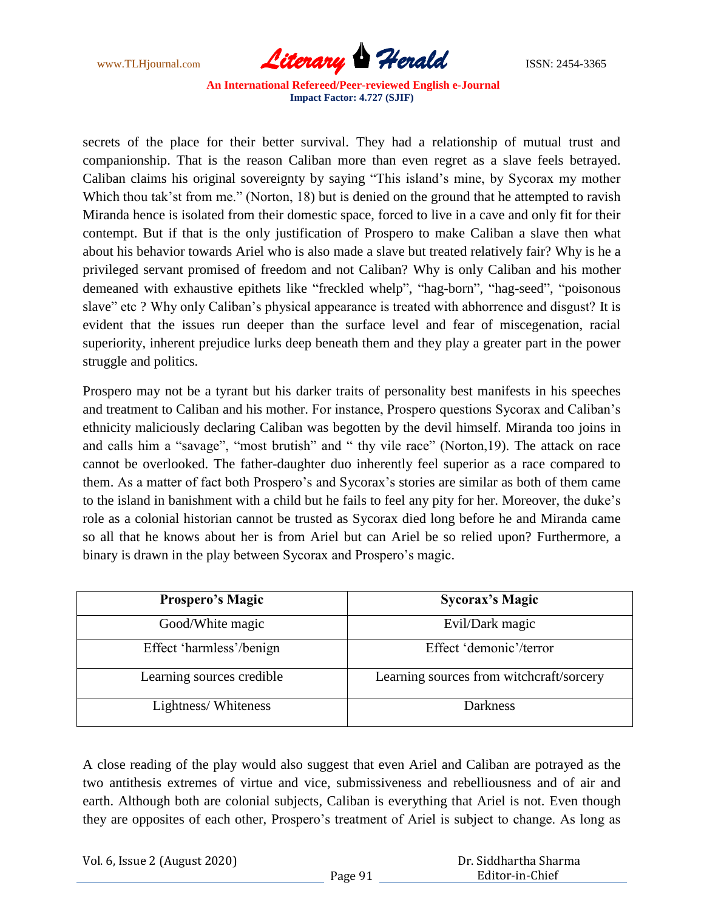

secrets of the place for their better survival. They had a relationship of mutual trust and companionship. That is the reason Caliban more than even regret as a slave feels betrayed. Caliban claims his original sovereignty by saying "This island"s mine, by Sycorax my mother Which thou tak'st from me." (Norton, 18) but is denied on the ground that he attempted to ravish Miranda hence is isolated from their domestic space, forced to live in a cave and only fit for their contempt. But if that is the only justification of Prospero to make Caliban a slave then what about his behavior towards Ariel who is also made a slave but treated relatively fair? Why is he a privileged servant promised of freedom and not Caliban? Why is only Caliban and his mother demeaned with exhaustive epithets like "freckled whelp", "hag-born", "hag-seed", "poisonous slave" etc ? Why only Caliban"s physical appearance is treated with abhorrence and disgust? It is evident that the issues run deeper than the surface level and fear of miscegenation, racial superiority, inherent prejudice lurks deep beneath them and they play a greater part in the power struggle and politics.

Prospero may not be a tyrant but his darker traits of personality best manifests in his speeches and treatment to Caliban and his mother. For instance, Prospero questions Sycorax and Caliban"s ethnicity maliciously declaring Caliban was begotten by the devil himself. Miranda too joins in and calls him a "savage", "most brutish" and " thy vile race" (Norton,19). The attack on race cannot be overlooked. The father-daughter duo inherently feel superior as a race compared to them. As a matter of fact both Prospero"s and Sycorax"s stories are similar as both of them came to the island in banishment with a child but he fails to feel any pity for her. Moreover, the duke"s role as a colonial historian cannot be trusted as Sycorax died long before he and Miranda came so all that he knows about her is from Ariel but can Ariel be so relied upon? Furthermore, a binary is drawn in the play between Sycorax and Prospero's magic.

| <b>Prospero's Magic</b>   | <b>Sycorax's Magic</b>                   |
|---------------------------|------------------------------------------|
| Good/White magic          | Evil/Dark magic                          |
| Effect 'harmless'/benign  | Effect 'demonic'/terror                  |
| Learning sources credible | Learning sources from witchcraft/sorcery |
| Lightness/Whiteness       | <b>Darkness</b>                          |

A close reading of the play would also suggest that even Ariel and Caliban are potrayed as the two antithesis extremes of virtue and vice, submissiveness and rebelliousness and of air and earth. Although both are colonial subjects, Caliban is everything that Ariel is not. Even though they are opposites of each other, Prospero"s treatment of Ariel is subject to change. As long as

Vol. 6, Issue 2 (August 2020)

 Dr. Siddhartha Sharma Editor-in-Chief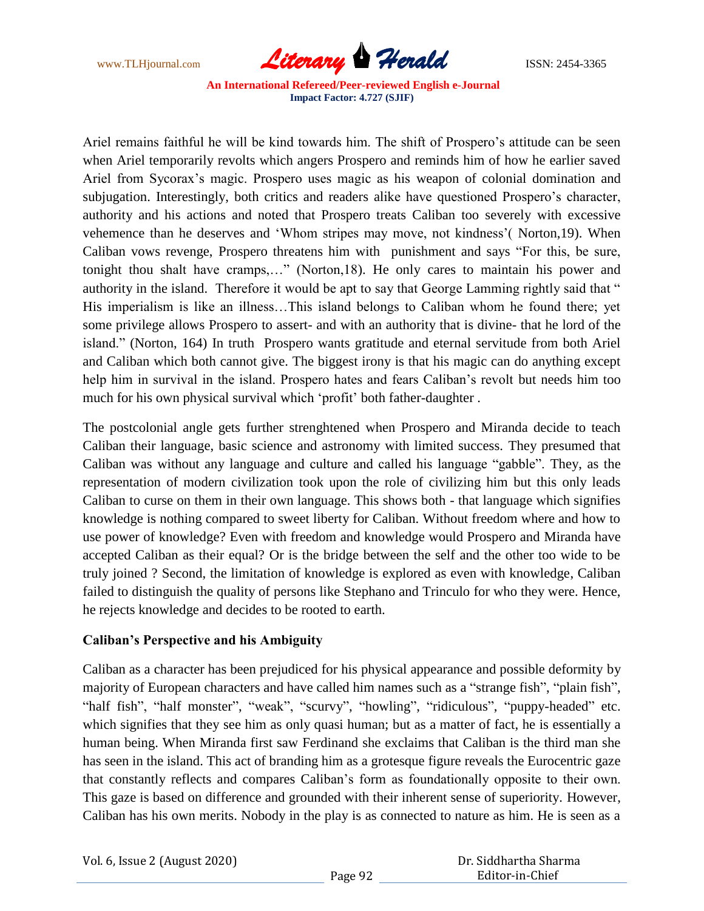

Ariel remains faithful he will be kind towards him. The shift of Prospero's attitude can be seen when Ariel temporarily revolts which angers Prospero and reminds him of how he earlier saved Ariel from Sycorax"s magic. Prospero uses magic as his weapon of colonial domination and subjugation. Interestingly, both critics and readers alike have questioned Prospero's character, authority and his actions and noted that Prospero treats Caliban too severely with excessive vehemence than he deserves and "Whom stripes may move, not kindness"( Norton,19). When Caliban vows revenge, Prospero threatens him with punishment and says "For this, be sure, tonight thou shalt have cramps,…" (Norton,18). He only cares to maintain his power and authority in the island. Therefore it would be apt to say that George Lamming rightly said that " His imperialism is like an illness…This island belongs to Caliban whom he found there; yet some privilege allows Prospero to assert- and with an authority that is divine- that he lord of the island." (Norton, 164) In truth Prospero wants gratitude and eternal servitude from both Ariel and Caliban which both cannot give. The biggest irony is that his magic can do anything except help him in survival in the island. Prospero hates and fears Caliban"s revolt but needs him too much for his own physical survival which 'profit' both father-daughter.

The postcolonial angle gets further strenghtened when Prospero and Miranda decide to teach Caliban their language, basic science and astronomy with limited success. They presumed that Caliban was without any language and culture and called his language "gabble". They, as the representation of modern civilization took upon the role of civilizing him but this only leads Caliban to curse on them in their own language. This shows both - that language which signifies knowledge is nothing compared to sweet liberty for Caliban. Without freedom where and how to use power of knowledge? Even with freedom and knowledge would Prospero and Miranda have accepted Caliban as their equal? Or is the bridge between the self and the other too wide to be truly joined ? Second, the limitation of knowledge is explored as even with knowledge, Caliban failed to distinguish the quality of persons like Stephano and Trinculo for who they were. Hence, he rejects knowledge and decides to be rooted to earth.

### **Caliban's Perspective and his Ambiguity**

Caliban as a character has been prejudiced for his physical appearance and possible deformity by majority of European characters and have called him names such as a "strange fish", "plain fish", "half fish", "half monster", "weak", "scurvy", "howling", "ridiculous", "puppy-headed" etc. which signifies that they see him as only quasi human; but as a matter of fact, he is essentially a human being. When Miranda first saw Ferdinand she exclaims that Caliban is the third man she has seen in the island. This act of branding him as a grotesque figure reveals the Eurocentric gaze that constantly reflects and compares Caliban"s form as foundationally opposite to their own. This gaze is based on difference and grounded with their inherent sense of superiority. However, Caliban has his own merits. Nobody in the play is as connected to nature as him. He is seen as a